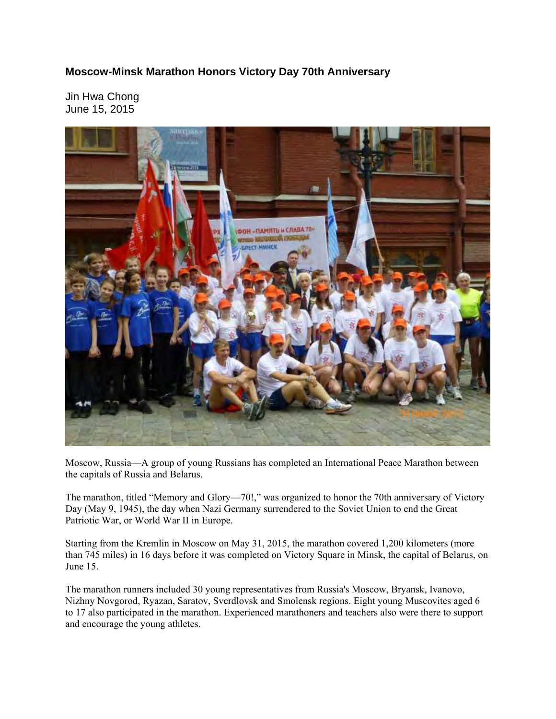## **Moscow-Minsk Marathon Honors Victory Day 70th Anniversary**

Jin Hwa Chong June 15, 2015



Moscow, Russia—A group of young Russians has completed an International Peace Marathon between the capitals of Russia and Belarus.

The marathon, titled "Memory and Glory—70!," was organized to honor the 70th anniversary of Victory Day (May 9, 1945), the day when Nazi Germany surrendered to the Soviet Union to end the Great Patriotic War, or World War II in Europe.

Starting from the Kremlin in Moscow on May 31, 2015, the marathon covered 1,200 kilometers (more than 745 miles) in 16 days before it was completed on Victory Square in Minsk, the capital of Belarus, on June 15.

The marathon runners included 30 young representatives from Russia's Moscow, Bryansk, Ivanovo, Nizhny Novgorod, Ryazan, Saratov, Sverdlovsk and Smolensk regions. Eight young Muscovites aged 6 to 17 also participated in the marathon. Experienced marathoners and teachers also were there to support and encourage the young athletes.